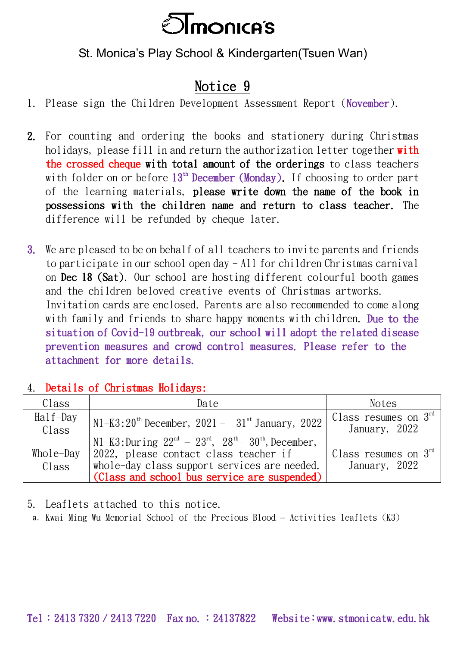

## St. Monica's Play School & Kindergarten(Tsuen Wan)

## Notice 9

- 1. Please sign the Children Development Assessment Report (November).
- 2. For counting and ordering the books and stationery during Christmas holidays, please fill in and return the authorization letter together with the crossed cheque with total amount of the orderings to class teachers with folder on or before  $13^{\text{th}}$  December (Monday). If choosing to order part of the learning materials, please write down the name of the book in possessions with the children name and return to class teacher. The difference will be refunded by cheque later.
- 3. We are pleased to be on behalf of all teachers to invite parents and friends to participate in our school open day - All for children Christmas carnival on Dec 18 (Sat). Our school are hosting different colourful booth games and the children beloved creative events of Christmas artworks. Invitation cards are enclosed. Parents are also recommended to come along with family and friends to share happy moments with children. Due to the situation of Covid-19 outbreak, our school will adopt the related disease prevention measures and crowd control measures. Please refer to the attachment for more details.

## 4. Details of Christmas Holidays:

| Class        | Date                                                                | <b>Notes</b>                      |
|--------------|---------------------------------------------------------------------|-----------------------------------|
| $Half$ -Day  | $N1-K3:20^{th}$ December, 2021 - $31^{st}$ January, 2022            | 'Class resumes on $3^{\text{rd}}$ |
| Class        |                                                                     | January, 2022                     |
|              | N1-K3: During $22^{nd} - 23^{rd}$ , $28^{th} - 30^{th}$ , December, |                                   |
| $Whole$ -Day | 2022, please contact class teacher if                               | Class resumes on $3rd$            |
| Class        | whole-day class support services are needed.                        | January, 2022                     |
|              | (Class and school bus service are suspended)                        |                                   |

5. Leaflets attached to this notice.

a. Kwai Ming Wu Memorial School of the Precious Blood – Activities leaflets (K3)